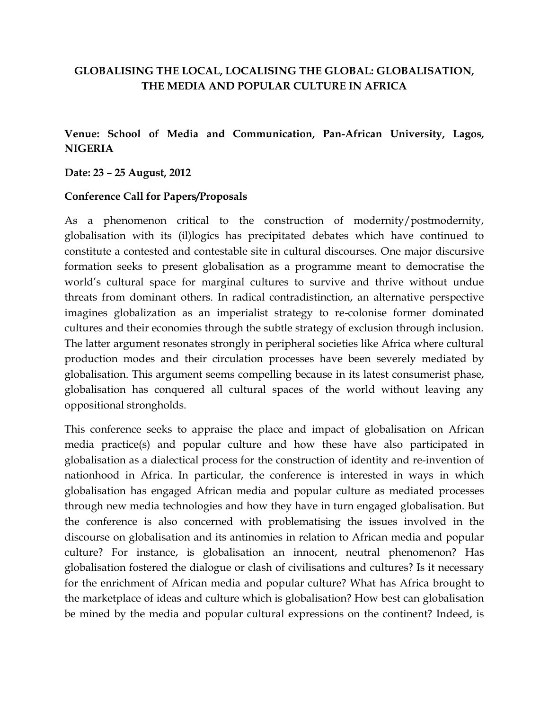### **GLOBALISING THE LOCAL, LOCALISING THE GLOBAL: GLOBALISATION, THE MEDIA AND POPULAR CULTURE IN AFRICA**

# **Venue: School of Media and Communication, Pan-African University, Lagos, NIGERIA**

### **Date: 23 – 25 August, 2012**

### **Conference Call for Papers/Proposals**

As a phenomenon critical to the construction of modernity/postmodernity, globalisation with its (il)logics has precipitated debates which have continued to constitute a contested and contestable site in cultural discourses. One major discursive formation seeks to present globalisation as a programme meant to democratise the world's cultural space for marginal cultures to survive and thrive without undue threats from dominant others. In radical contradistinction, an alternative perspective imagines globalization as an imperialist strategy to re-colonise former dominated cultures and their economies through the subtle strategy of exclusion through inclusion. The latter argument resonates strongly in peripheral societies like Africa where cultural production modes and their circulation processes have been severely mediated by globalisation. This argument seems compelling because in its latest consumerist phase, globalisation has conquered all cultural spaces of the world without leaving any oppositional strongholds.

This conference seeks to appraise the place and impact of globalisation on African media practice(s) and popular culture and how these have also participated in globalisation as a dialectical process for the construction of identity and re-invention of nationhood in Africa. In particular, the conference is interested in ways in which globalisation has engaged African media and popular culture as mediated processes through new media technologies and how they have in turn engaged globalisation. But the conference is also concerned with problematising the issues involved in the discourse on globalisation and its antinomies in relation to African media and popular culture? For instance, is globalisation an innocent, neutral phenomenon? Has globalisation fostered the dialogue or clash of civilisations and cultures? Is it necessary for the enrichment of African media and popular culture? What has Africa brought to the marketplace of ideas and culture which is globalisation? How best can globalisation be mined by the media and popular cultural expressions on the continent? Indeed, is